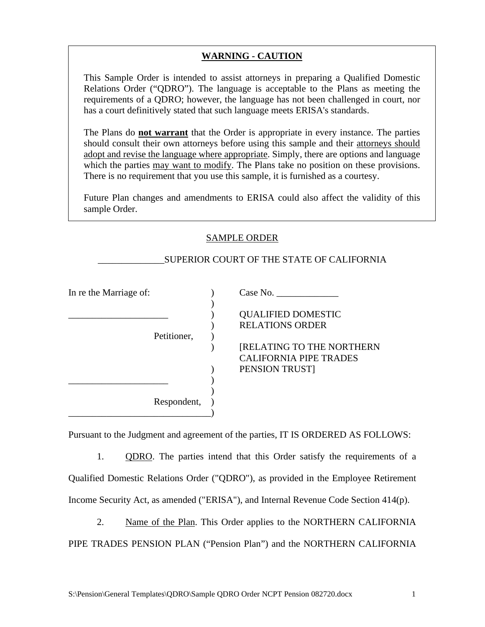## **WARNING - CAUTION**

This Sample Order is intended to assist attorneys in preparing a Qualified Domestic Relations Order ("QDRO"). The language is acceptable to the Plans as meeting the requirements of a QDRO; however, the language has not been challenged in court, nor has a court definitively stated that such language meets ERISA's standards.

The Plans do **not warrant** that the Order is appropriate in every instance. The parties should consult their own attorneys before using this sample and their attorneys should adopt and revise the language where appropriate. Simply, there are options and language which the parties may want to modify. The Plans take no position on these provisions. There is no requirement that you use this sample, it is furnished as a courtesy.

Future Plan changes and amendments to ERISA could also affect the validity of this sample Order.

## SAMPLE ORDER

 $\lambda$ 

)

## \_\_\_\_\_\_\_\_\_\_\_\_\_\_SUPERIOR COURT OF THE STATE OF CALIFORNIA

Petitioner, )

Respondent, )

\_\_\_\_\_\_\_\_\_\_\_\_\_\_\_\_\_\_\_\_\_ )

\_\_\_\_\_\_\_\_\_\_\_\_\_\_\_\_\_\_\_\_\_\_\_\_\_\_\_\_\_\_)

In re the Marriage of:  $\qquad \qquad$  (Case No.

\_\_\_\_\_\_\_\_\_\_\_\_\_\_\_\_\_\_\_\_\_ ) QUALIFIED DOMESTIC ) RELATIONS ORDER

) [RELATING TO THE NORTHERN CALIFORNIA PIPE TRADES ) PENSION TRUST]

Pursuant to the Judgment and agreement of the parties, IT IS ORDERED AS FOLLOWS:

1. QDRO. The parties intend that this Order satisfy the requirements of a Qualified Domestic Relations Order ("QDRO"), as provided in the Employee Retirement Income Security Act, as amended ("ERISA"), and Internal Revenue Code Section 414(p).

2. Name of the Plan. This Order applies to the NORTHERN CALIFORNIA PIPE TRADES PENSION PLAN ("Pension Plan") and the NORTHERN CALIFORNIA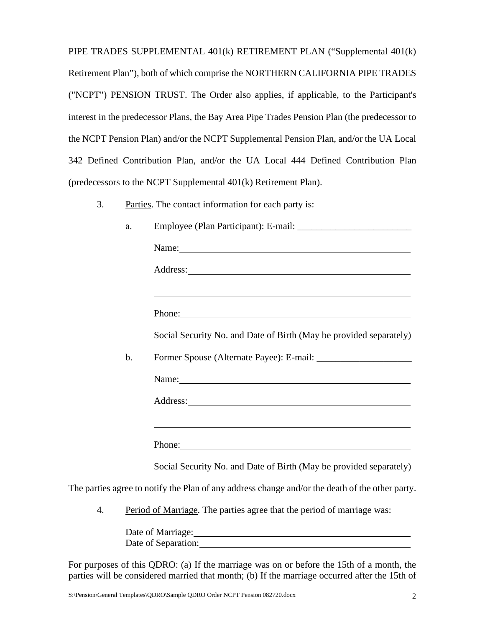PIPE TRADES SUPPLEMENTAL 401(k) RETIREMENT PLAN ("Supplemental 401(k) Retirement Plan"), both of which comprise the NORTHERN CALIFORNIA PIPE TRADES ("NCPT") PENSION TRUST. The Order also applies, if applicable, to the Participant's interest in the predecessor Plans, the Bay Area Pipe Trades Pension Plan (the predecessor to the NCPT Pension Plan) and/or the NCPT Supplemental Pension Plan, and/or the UA Local 342 Defined Contribution Plan, and/or the UA Local 444 Defined Contribution Plan (predecessors to the NCPT Supplemental 401(k) Retirement Plan).

3. Parties. The contact information for each party is:

|    | a.                                                                     |                                                                                                                                                                                                                                |
|----|------------------------------------------------------------------------|--------------------------------------------------------------------------------------------------------------------------------------------------------------------------------------------------------------------------------|
|    |                                                                        | Name: Name and the second contract of the second contract of the second contract of the second contract of the second contract of the second contract of the second contract of the second contract of the second contract of  |
|    |                                                                        |                                                                                                                                                                                                                                |
|    |                                                                        | ,我们也不会有什么。""我们的人,我们也不会有什么?""我们的人,我们也不会有什么?""我们的人,我们也不会有什么?""我们的人,我们也不会有什么?""我们的人                                                                                                                                               |
|    |                                                                        | Phone: Phone Phone Phone Phone Phone Phone Phone Phone Phone Phone Phone Phone Phone Phone Phone Phone Phone Phone Phone Phone Phone Phone Phone Phone Phone Phone Phone Phone Phone Phone Phone Phone Phone Phone Phone Phone |
|    |                                                                        | Social Security No. and Date of Birth (May be provided separately)                                                                                                                                                             |
|    | $\mathbf b$ .                                                          |                                                                                                                                                                                                                                |
|    |                                                                        | Name:                                                                                                                                                                                                                          |
|    |                                                                        | Address: 1000 million and the contract of the contract of the contract of the contract of the contract of the contract of the contract of the contract of the contract of the contract of the contract of the contract of the  |
|    |                                                                        | and the control of the control of the control of the control of the control of the control of the control of the                                                                                                               |
|    |                                                                        | Phone: 2008. Contract and the contract of the contract of the contract of the contract of the contract of the contract of the contract of the contract of the contract of the contract of the contract of the contract of the  |
|    |                                                                        | Social Security No. and Date of Birth (May be provided separately)                                                                                                                                                             |
|    |                                                                        | The parties agree to notify the Plan of any address change and/or the death of the other party.                                                                                                                                |
| 4. | Period of Marriage. The parties agree that the period of marriage was: |                                                                                                                                                                                                                                |

Date of Marriage: Date of Separation:

For purposes of this QDRO: (a) If the marriage was on or before the 15th of a month, the parties will be considered married that month; (b) If the marriage occurred after the 15th of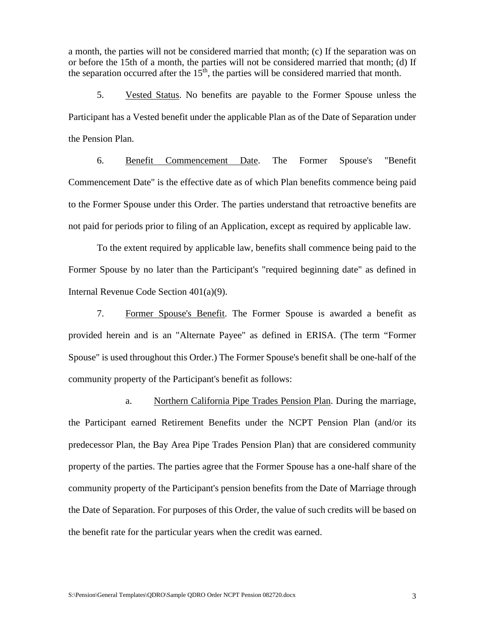a month, the parties will not be considered married that month; (c) If the separation was on or before the 15th of a month, the parties will not be considered married that month; (d) If the separation occurred after the  $15<sup>th</sup>$ , the parties will be considered married that month.

5. Vested Status. No benefits are payable to the Former Spouse unless the Participant has a Vested benefit under the applicable Plan as of the Date of Separation under the Pension Plan.

6. Benefit Commencement Date. The Former Spouse's "Benefit Commencement Date" is the effective date as of which Plan benefits commence being paid to the Former Spouse under this Order. The parties understand that retroactive benefits are not paid for periods prior to filing of an Application, except as required by applicable law.

To the extent required by applicable law, benefits shall commence being paid to the Former Spouse by no later than the Participant's "required beginning date" as defined in Internal Revenue Code Section 401(a)(9).

7. Former Spouse's Benefit. The Former Spouse is awarded a benefit as provided herein and is an "Alternate Payee" as defined in ERISA. (The term "Former Spouse" is used throughout this Order.) The Former Spouse's benefit shall be one-half of the community property of the Participant's benefit as follows:

a. Northern California Pipe Trades Pension Plan. During the marriage, the Participant earned Retirement Benefits under the NCPT Pension Plan (and/or its predecessor Plan, the Bay Area Pipe Trades Pension Plan) that are considered community property of the parties. The parties agree that the Former Spouse has a one-half share of the community property of the Participant's pension benefits from the Date of Marriage through the Date of Separation. For purposes of this Order, the value of such credits will be based on the benefit rate for the particular years when the credit was earned.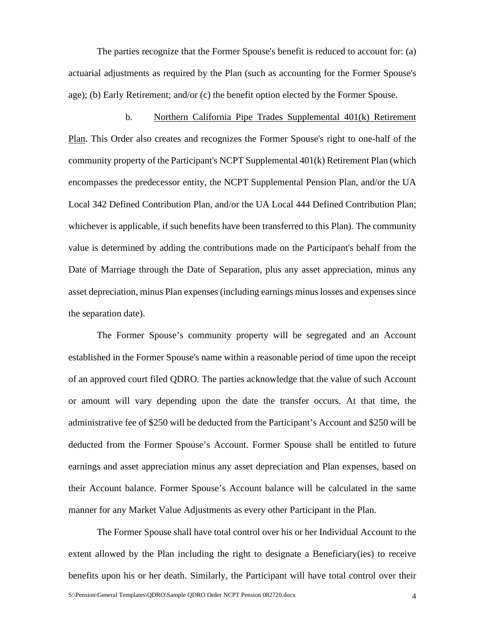The parties recognize that the Former Spouse's benefit is reduced to account for: (a) actuarial adjustments as required by the Plan (such as accounting for the Former Spouse's age); (b) Early Retirement; and/or (c) the benefit option elected by the Former Spouse.

b. Northern California Pipe Trades Supplemental 401(k) Retirement Plan. This Order also creates and recognizes the Former Spouse's right to one-half of the community property of the Participant's NCPT Supplemental 401(k) Retirement Plan (which encompasses the predecessor entity, the NCPT Supplemental Pension Plan, and/or the UA Local 342 Defined Contribution Plan, and/or the UA Local 444 Defined Contribution Plan; whichever is applicable, if such benefits have been transferred to this Plan). The community value is determined by adding the contributions made on the Participant's behalf from the Date of Marriage through the Date of Separation, plus any asset appreciation, minus any asset depreciation, minus Plan expenses (including earnings minus losses and expenses since the separation date).

The Former Spouse's community property will be segregated and an Account established in the Former Spouse's name within a reasonable period of time upon the receipt of an approved court filed QDRO. The parties acknowledge that the value of such Account or amount will vary depending upon the date the transfer occurs. At that time, the administrative fee of \$250 will be deducted from the Participant's Account and \$250 will be deducted from the Former Spouse's Account. Former Spouse shall be entitled to future earnings and asset appreciation minus any asset depreciation and Plan expenses, based on their Account balance. Former Spouse's Account balance will be calculated in the same manner for any Market Value Adjustments as every other Participant in the Plan.

The Former Spouse shall have total control over his or her Individual Account to the extent allowed by the Plan including the right to designate a Beneficiary(ies) to receive benefits upon his or her death. Similarly, the Participant will have total control over their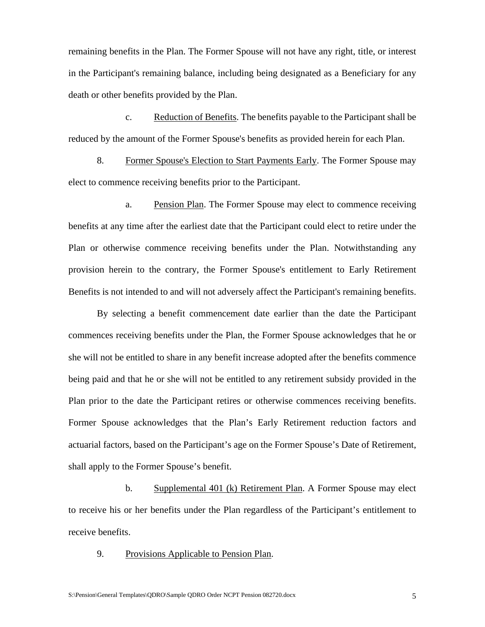remaining benefits in the Plan. The Former Spouse will not have any right, title, or interest in the Participant's remaining balance, including being designated as a Beneficiary for any death or other benefits provided by the Plan.

c. Reduction of Benefits. The benefits payable to the Participant shall be reduced by the amount of the Former Spouse's benefits as provided herein for each Plan.

8. Former Spouse's Election to Start Payments Early. The Former Spouse may elect to commence receiving benefits prior to the Participant.

a. Pension Plan. The Former Spouse may elect to commence receiving benefits at any time after the earliest date that the Participant could elect to retire under the Plan or otherwise commence receiving benefits under the Plan. Notwithstanding any provision herein to the contrary, the Former Spouse's entitlement to Early Retirement Benefits is not intended to and will not adversely affect the Participant's remaining benefits.

By selecting a benefit commencement date earlier than the date the Participant commences receiving benefits under the Plan, the Former Spouse acknowledges that he or she will not be entitled to share in any benefit increase adopted after the benefits commence being paid and that he or she will not be entitled to any retirement subsidy provided in the Plan prior to the date the Participant retires or otherwise commences receiving benefits. Former Spouse acknowledges that the Plan's Early Retirement reduction factors and actuarial factors, based on the Participant's age on the Former Spouse's Date of Retirement, shall apply to the Former Spouse's benefit.

b. Supplemental 401 (k) Retirement Plan. A Former Spouse may elect to receive his or her benefits under the Plan regardless of the Participant's entitlement to receive benefits.

9. Provisions Applicable to Pension Plan.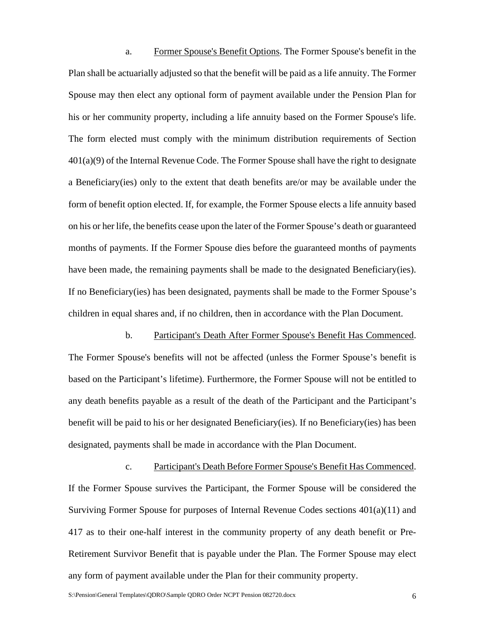a. Former Spouse's Benefit Options. The Former Spouse's benefit in the Plan shall be actuarially adjusted so that the benefit will be paid as a life annuity. The Former Spouse may then elect any optional form of payment available under the Pension Plan for his or her community property, including a life annuity based on the Former Spouse's life. The form elected must comply with the minimum distribution requirements of Section 401(a)(9) of the Internal Revenue Code. The Former Spouse shall have the right to designate a Beneficiary(ies) only to the extent that death benefits are/or may be available under the form of benefit option elected. If, for example, the Former Spouse elects a life annuity based on his or her life, the benefits cease upon the later of the Former Spouse's death or guaranteed months of payments. If the Former Spouse dies before the guaranteed months of payments have been made, the remaining payments shall be made to the designated Beneficiary(ies). If no Beneficiary(ies) has been designated, payments shall be made to the Former Spouse's children in equal shares and, if no children, then in accordance with the Plan Document.

b. Participant's Death After Former Spouse's Benefit Has Commenced. The Former Spouse's benefits will not be affected (unless the Former Spouse's benefit is based on the Participant's lifetime). Furthermore, the Former Spouse will not be entitled to any death benefits payable as a result of the death of the Participant and the Participant's benefit will be paid to his or her designated Beneficiary(ies). If no Beneficiary(ies) has been designated, payments shall be made in accordance with the Plan Document.

c. Participant's Death Before Former Spouse's Benefit Has Commenced. If the Former Spouse survives the Participant, the Former Spouse will be considered the Surviving Former Spouse for purposes of Internal Revenue Codes sections 401(a)(11) and 417 as to their one-half interest in the community property of any death benefit or Pre-Retirement Survivor Benefit that is payable under the Plan. The Former Spouse may elect any form of payment available under the Plan for their community property.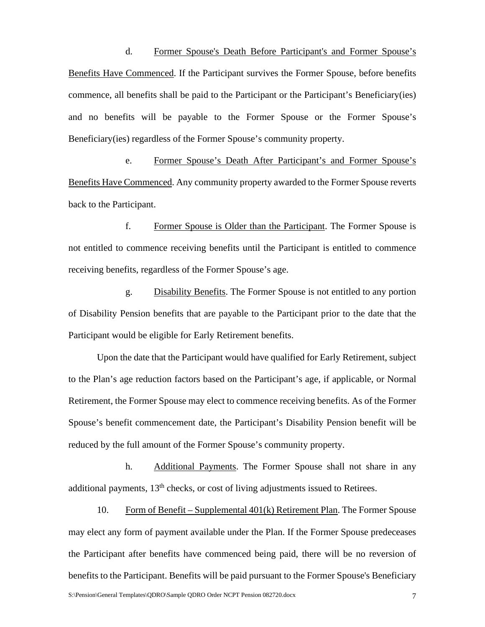d. Former Spouse's Death Before Participant's and Former Spouse's Benefits Have Commenced. If the Participant survives the Former Spouse, before benefits commence, all benefits shall be paid to the Participant or the Participant's Beneficiary(ies) and no benefits will be payable to the Former Spouse or the Former Spouse's Beneficiary(ies) regardless of the Former Spouse's community property.

e. Former Spouse's Death After Participant's and Former Spouse's Benefits Have Commenced. Any community property awarded to the Former Spouse reverts back to the Participant.

f. Former Spouse is Older than the Participant. The Former Spouse is not entitled to commence receiving benefits until the Participant is entitled to commence receiving benefits, regardless of the Former Spouse's age.

g. Disability Benefits. The Former Spouse is not entitled to any portion of Disability Pension benefits that are payable to the Participant prior to the date that the Participant would be eligible for Early Retirement benefits.

Upon the date that the Participant would have qualified for Early Retirement, subject to the Plan's age reduction factors based on the Participant's age, if applicable, or Normal Retirement, the Former Spouse may elect to commence receiving benefits. As of the Former Spouse's benefit commencement date, the Participant's Disability Pension benefit will be reduced by the full amount of the Former Spouse's community property.

h. Additional Payments. The Former Spouse shall not share in any additional payments, 13<sup>th</sup> checks, or cost of living adjustments issued to Retirees.

10. Form of Benefit – Supplemental 401(k) Retirement Plan. The Former Spouse may elect any form of payment available under the Plan. If the Former Spouse predeceases the Participant after benefits have commenced being paid, there will be no reversion of benefits to the Participant. Benefits will be paid pursuant to the Former Spouse's Beneficiary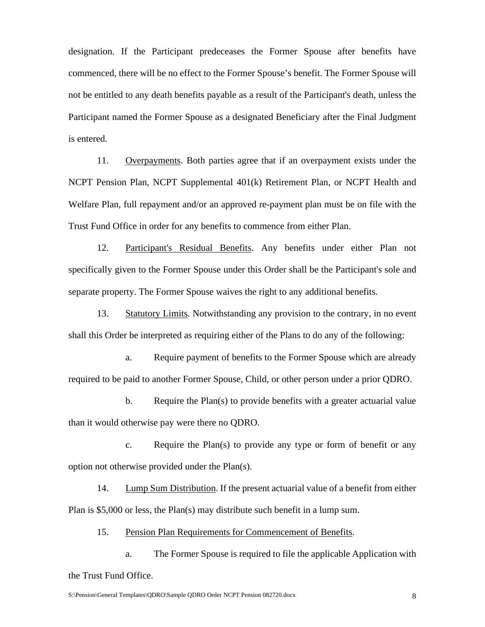designation. If the Participant predeceases the Former Spouse after benefits have commenced, there will be no effect to the Former Spouse's benefit. The Former Spouse will not be entitled to any death benefits payable as a result of the Participant's death, unless the Participant named the Former Spouse as a designated Beneficiary after the Final Judgment is entered.

11. Overpayments. Both parties agree that if an overpayment exists under the NCPT Pension Plan, NCPT Supplemental 401(k) Retirement Plan, or NCPT Health and Welfare Plan, full repayment and/or an approved re-payment plan must be on file with the Trust Fund Office in order for any benefits to commence from either Plan.

12. Participant's Residual Benefits. Any benefits under either Plan not specifically given to the Former Spouse under this Order shall be the Participant's sole and separate property. The Former Spouse waives the right to any additional benefits.

13. Statutory Limits. Notwithstanding any provision to the contrary, in no event shall this Order be interpreted as requiring either of the Plans to do any of the following:

a. Require payment of benefits to the Former Spouse which are already required to be paid to another Former Spouse, Child, or other person under a prior QDRO.

b. Require the Plan(s) to provide benefits with a greater actuarial value than it would otherwise pay were there no QDRO.

c. Require the Plan(s) to provide any type or form of benefit or any option not otherwise provided under the Plan(s).

14. Lump Sum Distribution. If the present actuarial value of a benefit from either Plan is \$5,000 or less, the Plan(s) may distribute such benefit in a lump sum.

15. Pension Plan Requirements for Commencement of Benefits.

a. The Former Spouse is required to file the applicable Application with the Trust Fund Office.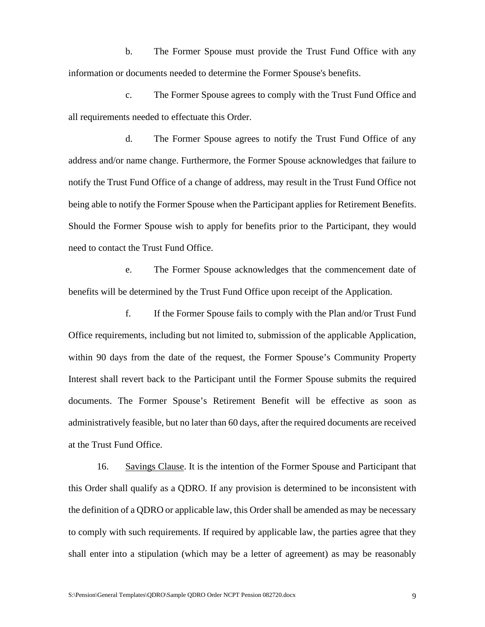b. The Former Spouse must provide the Trust Fund Office with any information or documents needed to determine the Former Spouse's benefits.

c. The Former Spouse agrees to comply with the Trust Fund Office and all requirements needed to effectuate this Order.

d. The Former Spouse agrees to notify the Trust Fund Office of any address and/or name change. Furthermore, the Former Spouse acknowledges that failure to notify the Trust Fund Office of a change of address, may result in the Trust Fund Office not being able to notify the Former Spouse when the Participant applies for Retirement Benefits. Should the Former Spouse wish to apply for benefits prior to the Participant, they would need to contact the Trust Fund Office.

e. The Former Spouse acknowledges that the commencement date of benefits will be determined by the Trust Fund Office upon receipt of the Application.

f. If the Former Spouse fails to comply with the Plan and/or Trust Fund Office requirements, including but not limited to, submission of the applicable Application, within 90 days from the date of the request, the Former Spouse's Community Property Interest shall revert back to the Participant until the Former Spouse submits the required documents. The Former Spouse's Retirement Benefit will be effective as soon as administratively feasible, but no later than 60 days, after the required documents are received at the Trust Fund Office.

16. Savings Clause. It is the intention of the Former Spouse and Participant that this Order shall qualify as a QDRO. If any provision is determined to be inconsistent with the definition of a QDRO or applicable law, this Order shall be amended as may be necessary to comply with such requirements. If required by applicable law, the parties agree that they shall enter into a stipulation (which may be a letter of agreement) as may be reasonably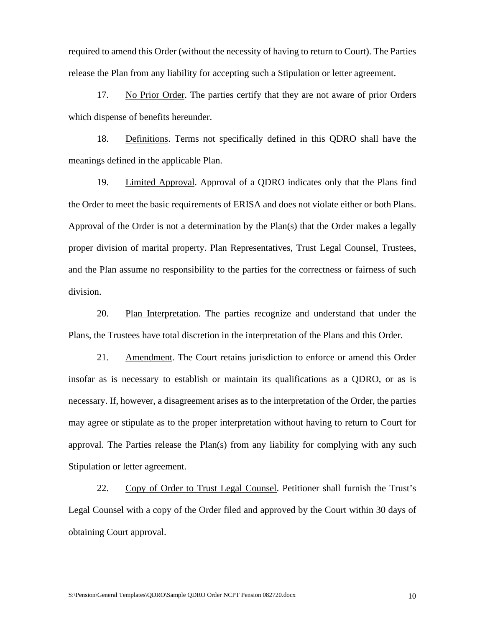required to amend this Order (without the necessity of having to return to Court). The Parties release the Plan from any liability for accepting such a Stipulation or letter agreement.

17. No Prior Order. The parties certify that they are not aware of prior Orders which dispense of benefits hereunder.

18. Definitions. Terms not specifically defined in this QDRO shall have the meanings defined in the applicable Plan.

19. Limited Approval. Approval of a QDRO indicates only that the Plans find the Order to meet the basic requirements of ERISA and does not violate either or both Plans. Approval of the Order is not a determination by the Plan(s) that the Order makes a legally proper division of marital property. Plan Representatives, Trust Legal Counsel, Trustees, and the Plan assume no responsibility to the parties for the correctness or fairness of such division.

20. Plan Interpretation. The parties recognize and understand that under the Plans, the Trustees have total discretion in the interpretation of the Plans and this Order.

21. Amendment. The Court retains jurisdiction to enforce or amend this Order insofar as is necessary to establish or maintain its qualifications as a QDRO, or as is necessary. If, however, a disagreement arises as to the interpretation of the Order, the parties may agree or stipulate as to the proper interpretation without having to return to Court for approval. The Parties release the Plan(s) from any liability for complying with any such Stipulation or letter agreement.

22. Copy of Order to Trust Legal Counsel. Petitioner shall furnish the Trust's Legal Counsel with a copy of the Order filed and approved by the Court within 30 days of obtaining Court approval.